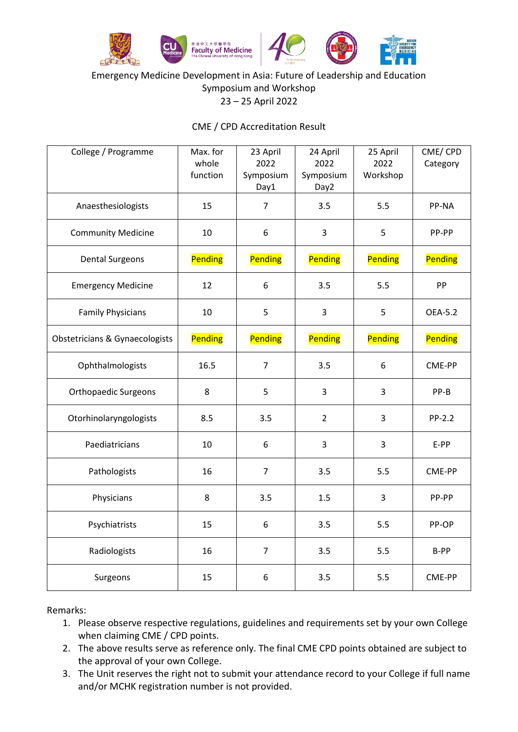

#### Emergency Medicine Development in Asia: Future of Leadership and Education Symposium and Workshop 23 – 25 April 2022

## CME / CPD Accreditation Result

| College / Programme                       | Max. for<br>whole<br>function | 23 April<br>2022<br>Symposium<br>Day1 | 24 April<br>2022<br>Symposium<br>Day2 | 25 April<br>2022<br>Workshop | CME/CPD<br>Category |
|-------------------------------------------|-------------------------------|---------------------------------------|---------------------------------------|------------------------------|---------------------|
| Anaesthesiologists                        | 15                            | $\overline{7}$                        | 3.5                                   | 5.5                          | PP-NA               |
| <b>Community Medicine</b>                 | 10                            | 6                                     | $\overline{3}$                        | 5                            | PP-PP               |
| <b>Dental Surgeons</b>                    | Pending                       | Pending                               | Pending                               | Pending                      | Pending             |
| <b>Emergency Medicine</b>                 | 12                            | 6                                     | 3.5                                   | 5.5                          | PP                  |
| <b>Family Physicians</b>                  | 10                            | 5                                     | $\overline{3}$                        | 5                            | OEA-5.2             |
| <b>Obstetricians &amp; Gynaecologists</b> | Pending                       | Pending                               | Pending                               | Pending                      | Pending             |
| Ophthalmologists                          | 16.5                          | $\overline{7}$                        | 3.5                                   | 6                            | CME-PP              |
| <b>Orthopaedic Surgeons</b>               | 8                             | 5                                     | 3                                     | 3                            | PP-B                |
| Otorhinolaryngologists                    | 8.5                           | 3.5                                   | $\overline{2}$                        | 3                            | PP-2.2              |
| Paediatricians                            | 10                            | 6                                     | $\overline{3}$                        | $\overline{3}$               | E-PP                |
| Pathologists                              | 16                            | $\overline{7}$                        | 3.5                                   | 5.5                          | CME-PP              |
| Physicians                                | 8                             | 3.5                                   | 1.5                                   | 3                            | PP-PP               |
| Psychiatrists                             | 15                            | 6                                     | 3.5                                   | 5.5                          | PP-OP               |
| Radiologists                              | 16                            | $\overline{7}$                        | 3.5                                   | 5.5                          | B-PP                |
| Surgeons                                  | 15                            | 6                                     | 3.5                                   | 5.5                          | CME-PP              |

Remarks:

- 1. Please observe respective regulations, guidelines and requirements set by your own College when claiming CME / CPD points.
- 2. The above results serve as reference only. The final CME CPD points obtained are subject to the approval of your own College.
- 3. The Unit reserves the right not to submit your attendance record to your College if full name and/or MCHK registration number is not provided.